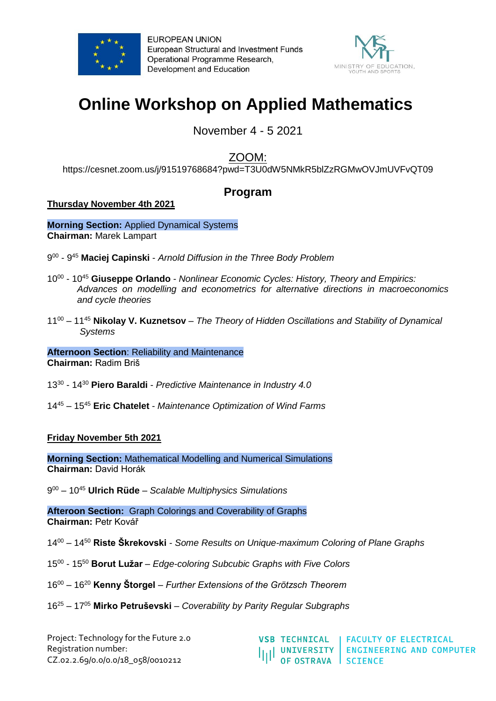



# **Online Workshop on Applied Mathematics**

November 4 - 5 2021

ZOOM:

<https://cesnet.zoom.us/j/91519768684?pwd=T3U0dW5NMkR5blZzRGMwOVJmUVFvQT09>

## **Program**

### **Thursday November 4th 2021**

**Morning Section:** Applied Dynamical Systems **Chairman:** Marek Lampart

9 00 - 9 <sup>45</sup> **Maciej Capinski** - *Arnold Diffusion in the Three Body Problem*

- 10<sup>00</sup> 10<sup>45</sup> Giuseppe Orlando *Nonlinear Economic Cycles: History, Theory and Empirics: Advances on modelling and econometrics for alternative directions in macroeconomics and cycle theories*
- 11<sup>00</sup> 11<sup>45</sup> **Nikolay V. Kuznetsov** *The Theory of Hidden Oscillations and Stability of Dynamical Systems*

**Afternoon Section**: Reliability and Maintenance **Chairman:** Radim Briš

13<sup>30</sup> - 14<sup>30</sup> **Piero Baraldi** - *Predictive Maintenance in Industry 4.0*

14<sup>45</sup> – 15<sup>45</sup> **Eric Chatelet** - *Maintenance Optimization of Wind Farms*

**Friday November 5th 2021**

**Morning Section:** Mathematical Modelling and Numerical Simulations **Chairman:** David Horák

9 <sup>00</sup> – 10<sup>45</sup> **Ulrich Rüde** – *Scalable Multiphysics Simulations*

**Afteroon Section:** Graph Colorings and Coverability of Graphs **Chairman:** Petr Kovář

14<sup>00</sup> – 14<sup>50</sup> **Riste Škrekovski** - *Some Results on Unique-maximum Coloring of Plane Graphs* 

- 15<sup>00</sup> 15<sup>50</sup> **Borut Lužar** *Edge-coloring Subcubic Graphs with Five Colors*
- 16<sup>00</sup> 16<sup>20</sup> **Kenny Štorgel**  *Further Extensions of the Grötzsch Theorem*
- 16<sup>25</sup> 17<sup>05</sup> **Mirko Petruševski**  *Coverability by Parity Regular Subgraphs*

Project: Technology for the Future 2.0 Registration number: CZ.02.2.69/0.0/0.0/18\_058/0010212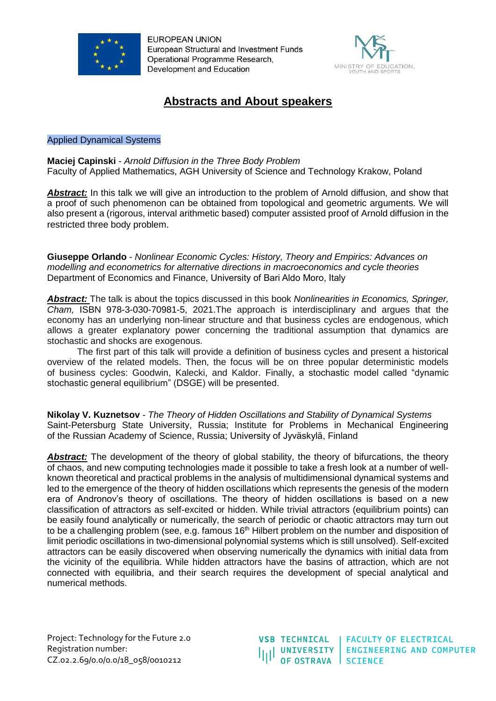



## **Abstracts and About speakers**

#### Applied Dynamical Systems

**Maciej Capinski** - *Arnold Diffusion in the Three Body Problem* Faculty of Applied Mathematics, AGH University of Science and Technology Krakow, Poland

**Abstract:** In this talk we will give an introduction to the problem of Arnold diffusion, and show that a proof of such phenomenon can be obtained from topological and geometric arguments. We will also present a (rigorous, interval arithmetic based) computer assisted proof of Arnold diffusion in the restricted three body problem.

**Giuseppe Orlando** - *Nonlinear Economic Cycles: History, Theory and Empirics: Advances on modelling and econometrics for alternative directions in macroeconomics and cycle theories* Department of Economics and Finance, University of Bari Aldo Moro, Italy

*Abstract:* The talk is about the topics discussed in this book *Nonlinearities in Economics, Springer, Cham,* ISBN 978-3-030-70981-5, 2021.The approach is interdisciplinary and argues that the economy has an underlying non-linear structure and that business cycles are endogenous, which allows a greater explanatory power concerning the traditional assumption that dynamics are stochastic and shocks are exogenous.

The first part of this talk will provide a definition of business cycles and present a historical overview of the related models. Then, the focus will be on three popular deterministic models of business cycles: Goodwin, Kalecki, and Kaldor. Finally, a stochastic model called "dynamic stochastic general equilibrium" (DSGE) will be presented.

**Nikolay V. Kuznetsov** *- The Theory of Hidden Oscillations and Stability of Dynamical Systems* Saint-Petersburg State University, Russia; Institute for Problems in Mechanical Engineering of the Russian Academy of Science, Russia; [University of Jyväskylä,](https://www.jyu.fi/en) Finland

Abstract: The development of the theory of global stability, the theory of bifurcations, the theory of chaos, and new computing technologies made it possible to take a fresh look at a number of wellknown theoretical and practical problems in the analysis of multidimensional dynamical systems and led to the emergence of the theory of hidden oscillations which represents the genesis of the modern era of Andronov's theory of oscillations. The theory of hidden oscillations is based on a new classification of attractors as self-excited or hidden. While trivial attractors (equilibrium points) can be easily found analytically or numerically, the search of periodic or chaotic attractors may turn out to be a challenging problem (see, e.g. famous 16<sup>th</sup> Hilbert problem on the number and disposition of limit periodic oscillations in two-dimensional polynomial systems which is still unsolved). Self-excited attractors can be easily discovered when observing numerically the dynamics with initial data from the vicinity of the equilibria. While hidden attractors have the basins of attraction, which are not connected with equilibria, and their search requires the development of special analytical and numerical methods.

Project: Technology for the Future 2.0 Registration number: CZ.02.2.69/0.0/0.0/18\_058/0010212

**VSB TECHNICAL FACULTY OF ELECTRICAL ENGINEERING AND COMPUTER UNIVERSITY** OF OSTRAVA SCIENCE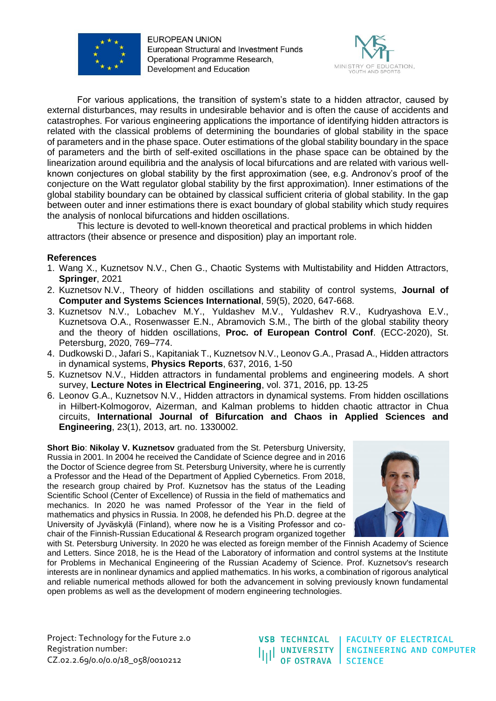



For various applications, the transition of system's state to a hidden attractor, caused by external disturbances, may results in undesirable behavior and is often the cause of accidents and catastrophes. For various engineering applications the importance of identifying hidden attractors is related with the classical problems of determining the boundaries of global stability in the space of parameters and in the phase space. Outer estimations of the global stability boundary in the space of parameters and the birth of self-exited oscillations in the phase space can be obtained by the linearization around equilibria and the analysis of local bifurcations and are related with various wellknown conjectures on global stability by the first approximation (see, e.g. Andronov's proof of the conjecture on the Watt regulator global stability by the first approximation). Inner estimations of the global stability boundary can be obtained by classical sufficient criteria of global stability. In the gap between outer and inner estimations there is exact boundary of global stability which study requires the analysis of nonlocal bifurcations and hidden oscillations.

This lecture is devoted to well-known theoretical and practical problems in which hidden attractors (their absence or presence and disposition) play an important role.

#### **References**

- 1. Wang X., Kuznetsov N.V., Chen G., Chaotic Systems with Multistability and Hidden Attractors, **Springer**, 2021
- 2. Kuznetsov N.V., Theory of hidden oscillations and stability of control systems, **Journal of Computer and Systems Sciences International**, 59(5), 2020, 647-668.
- 3. Kuznetsov N.V., Lobachev M.Y., Yuldashev M.V., Yuldashev R.V., Kudryashova E.V., Kuznetsova O.A., Rosenwasser E.N., Abramovich S.M., The birth of the global stability theory and the theory of hidden oscillations, **Proc. of European Control Conf**. (ECC-2020), St. Petersburg, 2020, 769–774.
- 4. Dudkowski D., Jafari S., Kapitaniak T., Kuznetsov N.V., Leonov G.A., Prasad A., Hidden attractors in dynamical systems, **Physics Reports**, 637, 2016, 1-50
- 5. Kuznetsov N.V., Hidden attractors in fundamental problems and engineering models. A short survey, **Lecture Notes in Electrical Engineering**, vol. 371, 2016, pp. 13-25
- 6. Leonov G.A., Kuznetsov N.V., Hidden attractors in dynamical systems. From hidden oscillations in Hilbert-Kolmogorov, Aizerman, and Kalman problems to hidden chaotic attractor in Chua circuits, **International Journal of Bifurcation and Chaos in Applied Sciences and Engineering**, 23(1), 2013, art. no. 1330002.

**Short Bio**: **Nikolay V. Kuznetsov** graduated from the St. Petersburg University, Russia in 2001. In 2004 he received the Candidate of Science degree and in 2016 the Doctor of Science degree from St. Petersburg University, where he is currently a Professor and the Head of the Department of Applied Cybernetics. From 2018, the research group chaired by Prof. Kuznetsov has the status of the Leading Scientific School (Center of Excellence) of Russia in the field of mathematics and mechanics. In 2020 he was named Professor of the Year in the field of mathematics and physics in Russia. In 2008, he defended his Ph.D. degree at the University of Jyväskylä (Finland), where now he is a Visiting Professor and cochair of the Finnish-Russian Educational & Research program organized together



with St. Petersburg University. In 2020 he was elected as foreign member of the Finnish Academy of Science and Letters. Since 2018, he is the Head of the Laboratory of information and control systems at the Institute for Problems in Mechanical Engineering of the Russian Academy of Science. Prof. Kuznetsov's research interests are in nonlinear dynamics and applied mathematics. In his works, a combination of rigorous analytical and reliable numerical methods allowed for both the advancement in solving previously known fundamental open problems as well as the development of modern engineering technologies.

Project: Technology for the Future 2.0 Registration number: CZ.02.2.69/0.0/0.0/18\_058/0010212

**VSB TECHNICAL UNIVERSITY** OF OSTRAVA SCIENCE

**FACULTY OF ELECTRICAL ENGINEERING AND COMPUTER**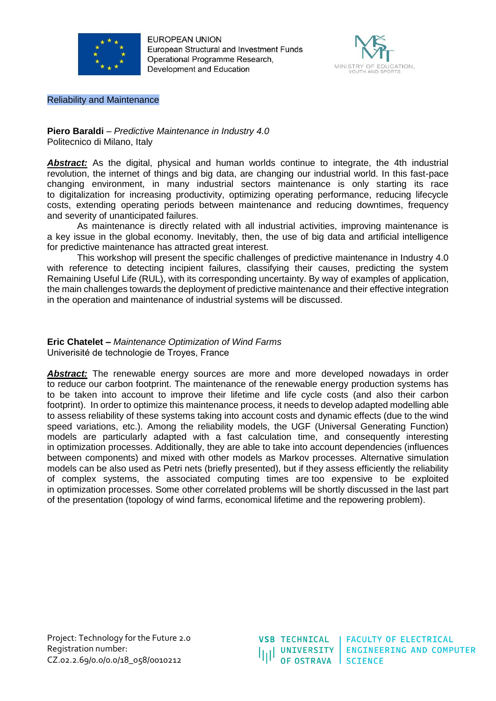



Reliability and Maintenance

**Piero Baraldi** – *Predictive Maintenance in Industry 4.0* Politecnico di Milano, Italy

Abstract: As the digital, physical and human worlds continue to integrate, the 4th industrial revolution, the internet of things and big data, are changing our industrial world. In this fast-pace changing environment, in many industrial sectors maintenance is only starting its race to digitalization for increasing productivity, optimizing operating performance, reducing lifecycle costs, extending operating periods between maintenance and reducing downtimes, frequency and severity of unanticipated failures.

As maintenance is directly related with all industrial activities, improving maintenance is a key issue in the global economy. Inevitably, then, the use of big data and artificial intelligence for predictive maintenance has attracted great interest.

This workshop will present the specific challenges of predictive maintenance in Industry 4.0 with reference to detecting incipient failures, classifying their causes, predicting the system Remaining Useful Life (RUL), with its corresponding uncertainty. By way of examples of application, the main challenges towards the deployment of predictive maintenance and their effective integration in the operation and maintenance of industrial systems will be discussed.

**Eric Chatelet –** *Maintenance Optimization of Wind Farms* Univerisité de technologie de Troyes, France

**Abstract:** The renewable energy sources are more and more developed nowadays in order to reduce our carbon footprint. The maintenance of the renewable energy production systems has to be taken into account to improve their lifetime and life cycle costs (and also their carbon footprint). In order to optimize this maintenance process, it needs to develop adapted modelling able to assess reliability of these systems taking into account costs and dynamic effects (due to the wind speed variations, etc.). Among the reliability models, the UGF (Universal Generating Function) models are particularly adapted with a fast calculation time, and consequently interesting in optimization processes. Additionally, they are able to take into account dependencies (influences between components) and mixed with other models as Markov processes. Alternative simulation models can be also used as Petri nets (briefly presented), but if they assess efficiently the reliability of complex systems, the associated computing times are too expensive to be exploited in optimization processes. Some other correlated problems will be shortly discussed in the last part of the presentation (topology of wind farms, economical lifetime and the repowering problem).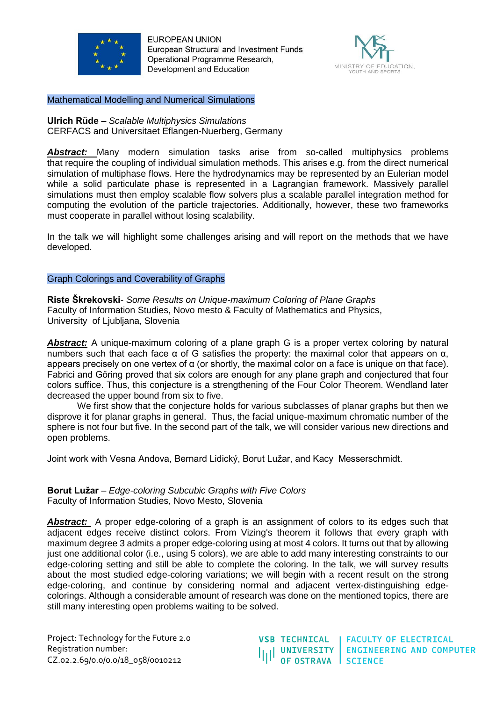



Mathematical Modelling and Numerical Simulations

**Ulrich Rüde –** *Scalable Multiphysics Simulations* CERFACS and Universitaet Eflangen-Nuerberg, Germany

*Abstract:* Many modern simulation tasks arise from so-called multiphysics problems that require the coupling of individual simulation methods. This arises e.g. from the direct numerical simulation of multiphase flows. Here the hydrodynamics may be represented by an Eulerian model while a solid particulate phase is represented in a Lagrangian framework. Massively parallel simulations must then employ scalable flow solvers plus a scalable parallel integration method for computing the evolution of the particle trajectories. Additionally, however, these two frameworks must cooperate in parallel without losing scalability.

In the talk we will highlight some challenges arising and will report on the methods that we have developed.

#### Graph Colorings and Coverability of Graphs

**Riste Škrekovski**- *Some Results on Unique-maximum Coloring of Plane Graphs*  Faculty of Information Studies, Novo mesto & Faculty of Mathematics and Physics, University of Ljubljana, Slovenia

**Abstract:** A unique-maximum coloring of a plane graph G is a proper vertex coloring by natural numbers such that each face α of G satisfies the property: the maximal color that appears on α, appears precisely on one vertex of α (or shortly, the maximal color on a face is unique on that face). Fabrici and Göring proved that six colors are enough for any plane graph and conjectured that four colors suffice. Thus, this conjecture is a strengthening of the Four Color Theorem. Wendland later decreased the upper bound from six to five.

We first show that the conjecture holds for various subclasses of planar graphs but then we disprove it for planar graphs in general. Thus, the facial unique-maximum chromatic number of the sphere is not four but five. In the second part of the talk, we will consider various new directions and open problems.

Joint work with Vesna Andova, Bernard Lidický, Borut Lužar, and Kacy Messerschmidt.

#### **Borut Lužar** – *Edge-coloring Subcubic Graphs with Five Colors*  Faculty of Information Studies, Novo Mesto, Slovenia

Abstract: A proper edge-coloring of a graph is an assignment of colors to its edges such that adjacent edges receive distinct colors. From Vizing's theorem it follows that every graph with maximum degree 3 admits a proper edge-coloring using at most 4 colors. It turns out that by allowing just one additional color (i.e., using 5 colors), we are able to add many interesting constraints to our edge-coloring setting and still be able to complete the coloring. In the talk, we will survey results about the most studied edge-coloring variations; we will begin with a recent result on the strong edge-coloring, and continue by considering normal and adjacent vertex-distinguishing edgecolorings. Although a considerable amount of research was done on the mentioned topics, there are still many interesting open problems waiting to be solved.

Project: Technology for the Future 2.0 Registration number: CZ.02.2.69/0.0/0.0/18\_058/0010212

**VSB TECHNICAL FACULTY OF ELECTRICAL UNIVERSITY ENGINEERING AND COMPUTER** OF OSTRAVA SCIENCE